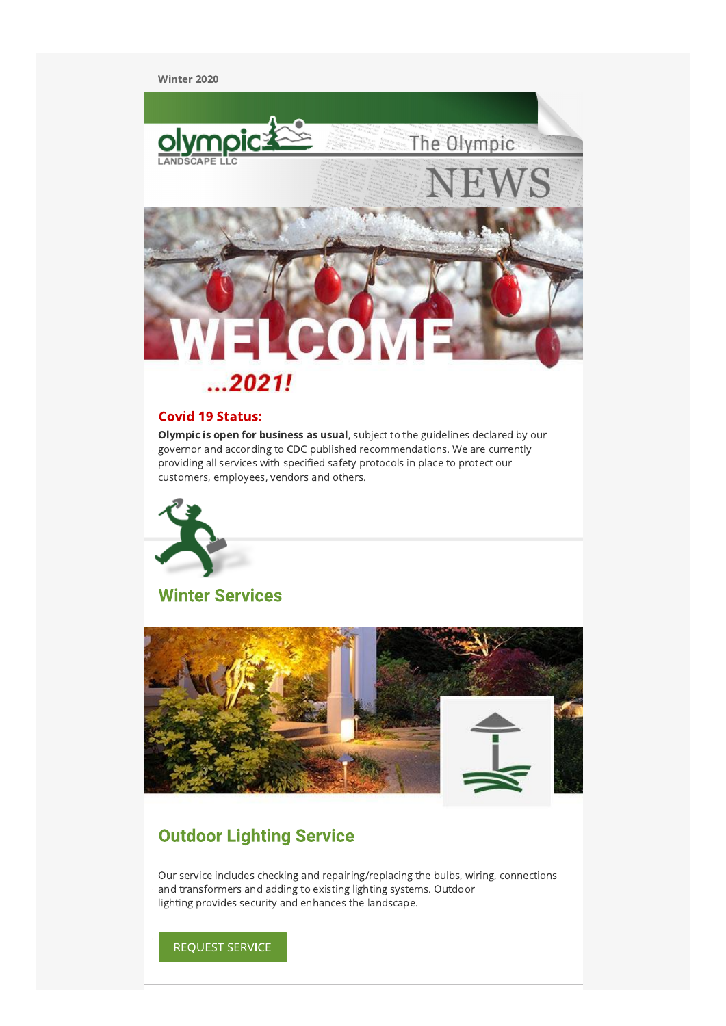Winter 2020



## **Covid 19 Status:**

Olympic is open for business as usual, subject to the guidelines declared by our governor and according to CDC published recommendations. We are currently providing all services with specified safety protocols in place to protect our customers, employees, vendors and others.



**Winter Services** 



### **Outdoor Lighting Service**

Our service includes checking and repairing/replacing the bulbs, wiring, connections and transformers and adding to existing lighting systems. Outdoor lighting provides security and enhances the landscape.

**REQUEST SERVICE**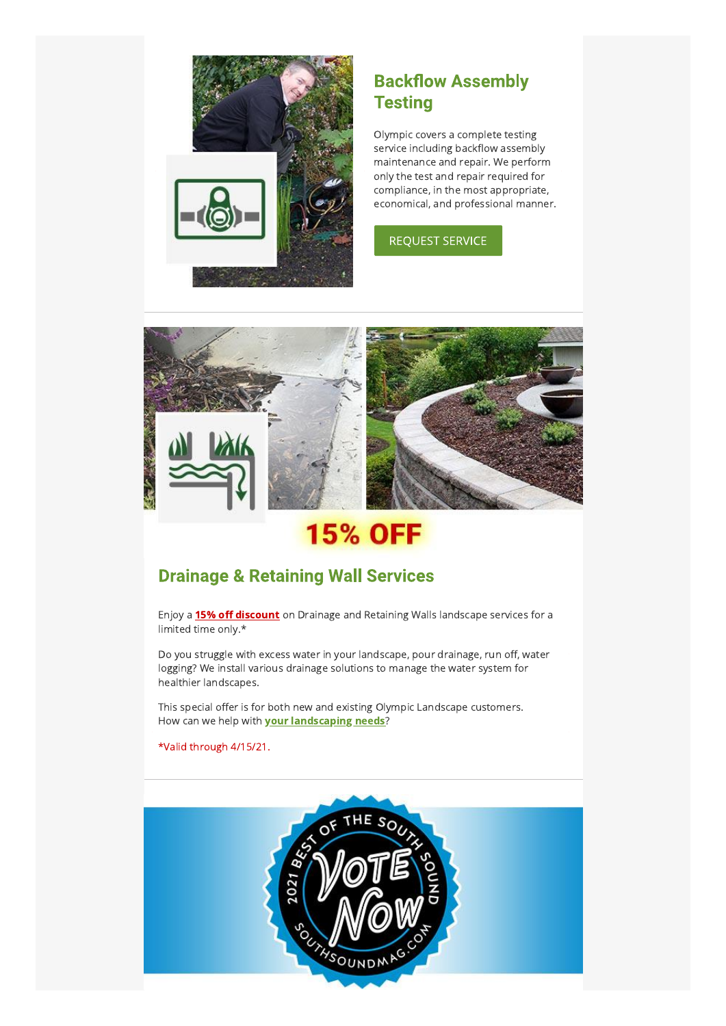

### **Backflow Assembly Testing**

Olympic covers a complete testing service including backflow assembly maintenance and repair. We perform only the test and repair required for compliance, in the most appropriate, economical, and professional manner.

#### **REQUEST SERVICE**



# **15% OFF**

### **Drainage & Retaining Wall Services**

Enjoy a 15% off discount on Drainage and Retaining Walls landscape services for a limited time only.\*

Do you struggle with excess water in your landscape, pour drainage, run off, water logging? We install various drainage solutions to manage the water system for healthier landscapes.

This special offer is for both new and existing Olympic Landscape customers. How can we help with **your landscaping needs**?

\*Valid through 4/15/21.

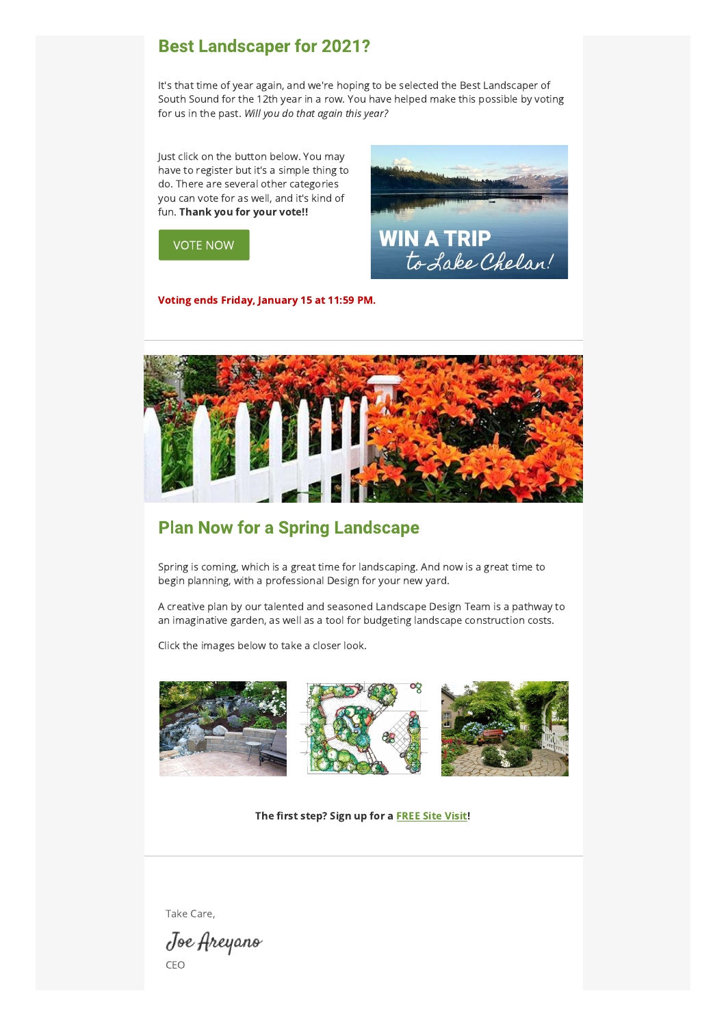### **Best Landscaper for 2021?**

It's that time of year again, and we're hoping to be selected the Best Landscaper of South Sound for the 12th year in a row. You have helped make this possible by voting for us in the past. Will you do that again this year?

Just click on the button below. You may have to register but it's a simple thing to do. There are several other categories you can vote for as well, and it's kind of fun. Thank you for your vote!!



**VOTE NOW** 

Voting ends Friday, January 15 at 11:59 PM.



### **Plan Now for a Spring Landscape**

Spring is coming, which is a great time for landscaping. And now is a great time to begin planning, with a professional Design for your new yard.

A creative plan by our talented and seasoned Landscape Design Team is a pathway to an imaginative garden, as well as a tool for budgeting landscape construction costs.

Click the images below to take a closer look.



The first step? Sign up for a FREE Site Visit!

Take Care,

Joe Areyano CEO